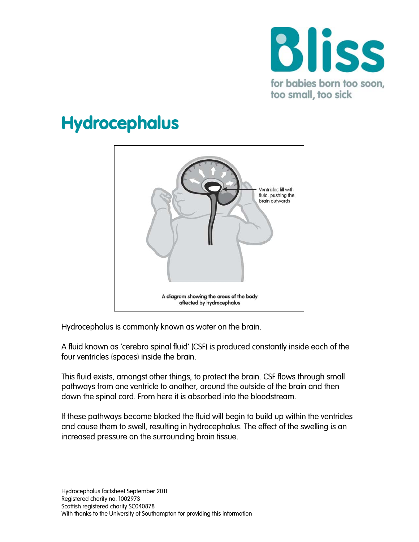

# Hydrocephalus



Hydrocephalus is commonly known as water on the brain.

A fluid known as 'cerebro spinal fluid' (CSF) is produced constantly inside each of the four ventricles (spaces) inside the brain.

This fluid exists, amongst other things, to protect the brain. CSF flows through small pathways from one ventricle to another, around the outside of the brain and then down the spinal cord. From here it is absorbed into the bloodstream.

If these pathways become blocked the fluid will begin to build up within the ventricles and cause them to swell, resulting in hydrocephalus. The effect of the swelling is an increased pressure on the surrounding brain tissue.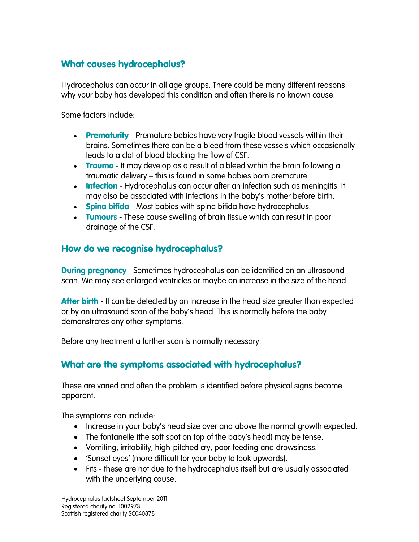## What causes hydrocephalus?

Hydrocephalus can occur in all age groups. There could be many different reasons why your baby has developed this condition and often there is no known cause.

Some factors include:

- Prematurity Premature babies have very fragile blood vessels within their brains. Sometimes there can be a bleed from these vessels which occasionally leads to a clot of blood blocking the flow of CSF.
- Trauma It may develop as a result of a bleed within the brain following a traumatic delivery – this is found in some babies born premature.
- Infection Hydrocephalus can occur after an infection such as meningitis. It may also be associated with infections in the baby's mother before birth.
- Spina bifida Most babies with spina bifida have hydrocephalus.
- Tumours These cause swelling of brain tissue which can result in poor drainage of the CSF.

## How do we recognise hydrocephalus?

**During pregnancy** - Sometimes hydrocephalus can be identified on an ultrasound scan. We may see enlarged ventricles or maybe an increase in the size of the head.

**After birth** - It can be detected by an increase in the head size greater than expected or by an ultrasound scan of the baby's head. This is normally before the baby demonstrates any other symptoms.

Before any treatment a further scan is normally necessary.

## What are the symptoms associated with hydrocephalus?

These are varied and often the problem is identified before physical signs become apparent.

The symptoms can include:

- Increase in your baby's head size over and above the normal growth expected.
- The fontanelle (the soft spot on top of the baby's head) may be tense.
- Vomiting, irritability, high-pitched cry, poor feeding and drowsiness.
- 'Sunset eyes' (more difficult for your baby to look upwards).
- Fits these are not due to the hydrocephalus itself but are usually associated with the underlying cause.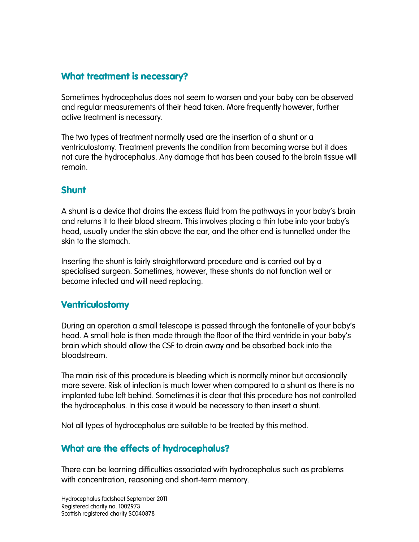## What treatment is necessary?

Sometimes hydrocephalus does not seem to worsen and your baby can be observed and regular measurements of their head taken. More frequently however, further active treatment is necessary.

The two types of treatment normally used are the insertion of a shunt or a ventriculostomy. Treatment prevents the condition from becoming worse but it does not cure the hydrocephalus. Any damage that has been caused to the brain tissue will remain.

#### Shunt

A shunt is a device that drains the excess fluid from the pathways in your baby's brain and returns it to their blood stream. This involves placing a thin tube into your baby's head, usually under the skin above the ear, and the other end is tunnelled under the skin to the stomach.

Inserting the shunt is fairly straightforward procedure and is carried out by a specialised surgeon. Sometimes, however, these shunts do not function well or become infected and will need replacing.

#### Ventriculostomy

During an operation a small telescope is passed through the fontanelle of your baby's head. A small hole is then made through the floor of the third ventricle in your baby's brain which should allow the CSF to drain away and be absorbed back into the bloodstream.

The main risk of this procedure is bleeding which is normally minor but occasionally more severe. Risk of infection is much lower when compared to a shunt as there is no implanted tube left behind. Sometimes it is clear that this procedure has not controlled the hydrocephalus. In this case it would be necessary to then insert a shunt.

Not all types of hydrocephalus are suitable to be treated by this method.

#### What are the effects of hydrocephalus?

There can be learning difficulties associated with hydrocephalus such as problems with concentration, reasoning and short-term memory.